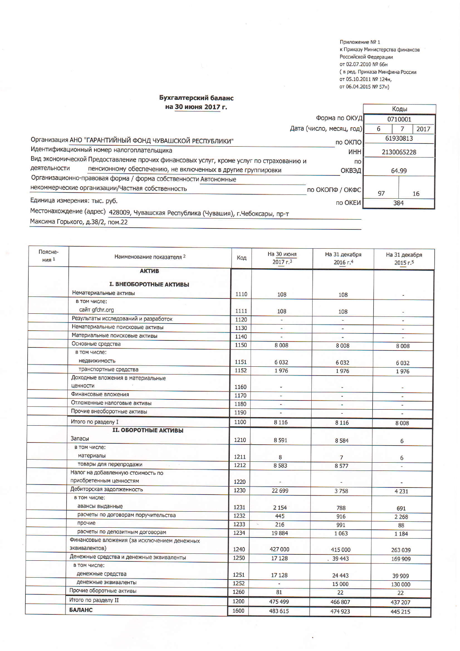Приложение № 1 к Приказу Министерства финансов Российской Федерации от 02.07.2010 № 66н ( в ред. Приказа Минфина России от 05.10.2011 № 124н, от 06.04.2015 № 57н)

Коды

## Бухгалтерский баланс

на 30 июня 2017 г.

| Форма по ОКУД                                                                               |                 | 0710001 |            |      |
|---------------------------------------------------------------------------------------------|-----------------|---------|------------|------|
| Дата (число, месяц, год)                                                                    |                 |         |            | 2017 |
| Организация АНО "ГАРАНТИЙНЫЙ ФОНД ЧУВАШСКОЙ РЕСПУБЛИКИ"<br>по ОКПО                          |                 |         | 61930813   |      |
| Идентификационный номер налогоплательщика                                                   | ИНН             |         | 2130065228 |      |
| Вид экономической Предоставление прочих финансовых услуг, кроме услуг по страхованию и      | $\overline{10}$ |         |            |      |
| деятельности<br>пенсионному обеспечению, не включенных в другие группировки<br><b>ОКВЭД</b> |                 |         | 64.99      |      |
| Организационно-правовая форма / форма собственности Автономные                              |                 |         |            |      |
| некоммерческие организации/Частная собственность<br>по ОКОПФ / ОКФС                         |                 | 97      |            | 16   |
| Единица измерения: тыс. руб.<br>по ОКЕИ                                                     |                 |         | 384        |      |
| Местонахождение (адрес) 428009, Чувашская Республика (Чувашия), г.Чебоксары, пр-т           |                 |         |            |      |

Максима Горького, д.38/2, пом.22

| Поясне-<br><b>НИЯ</b> 1 | Наименование показателя 2                    | Код  | На 30 июня<br>$2017 - 3$ | На 31 декабря<br>2016 г.4 | На 31 декабря<br>$2015 - 5$ |
|-------------------------|----------------------------------------------|------|--------------------------|---------------------------|-----------------------------|
|                         | <b>АКТИВ</b>                                 |      |                          |                           |                             |
|                         |                                              |      |                          |                           |                             |
|                         | <b>I. ВНЕОБОРОТНЫЕ АКТИВЫ</b>                |      |                          |                           |                             |
|                         | Нематериальные активы                        | 1110 | 108                      | 108                       |                             |
|                         | в том числе:                                 |      |                          |                           |                             |
|                         | сайт gfchr.org                               | 1111 | 108                      | 108                       | ٠                           |
|                         | Результаты исследований и разработок         | 1120 |                          |                           |                             |
|                         | Нематериальные поисковые активы              | 1130 |                          |                           | ÷.                          |
|                         | Материальные поисковые активы                | 1140 | ÷.                       | ÷                         | ÷.                          |
|                         | Основные средства                            | 1150 | 8 0 0 8                  | 8 0 0 8                   | 8008                        |
|                         | в том числе:                                 |      |                          |                           |                             |
|                         | недвижимость                                 | 1151 | 6032                     | 6 0 3 2                   | 6032                        |
|                         | транспортные средства                        | 1152 | 1976                     | 1976                      | 1976                        |
|                         | Доходные вложения в материальные             |      |                          |                           |                             |
|                         | ценности                                     | 1160 | Ξ                        |                           |                             |
|                         | Финансовые вложения                          | 1170 | ÷,                       | Ξ                         | $\omega$                    |
|                         | Отложенные налоговые активы                  | 1180 | ٠                        |                           | ÷.                          |
|                         | Прочие внеоборотные активы                   | 1190 |                          |                           | $\sim$                      |
|                         | Итого по разделу I                           | 1100 | 8 1 1 6                  | 8 1 1 6                   | 8008                        |
|                         | <b>II. ОБОРОТНЫЕ АКТИВЫ</b>                  |      |                          |                           |                             |
|                         | Запасы                                       | 1210 | 8 5 9 1                  | 8 5 8 4                   | 6                           |
|                         | в том числе:                                 |      |                          |                           |                             |
|                         | материалы                                    | 1211 | 8                        | $\overline{7}$            | 6                           |
|                         | товары для перепродажи                       | 1212 | 8 5 8 3                  | 8577                      | ÷.                          |
|                         | Налог на добавленную стоимость по            |      |                          |                           |                             |
|                         | приобретенным ценностям                      | 1220 |                          |                           |                             |
|                         | Дебиторская задолженность                    | 1230 | 22 699                   | 3758                      | 4 2 3 1                     |
|                         | в том числе:                                 |      |                          |                           |                             |
|                         | авансы выданные                              | 1231 | 2 1 5 4                  | 788                       | 691                         |
|                         | расчеты по договорам поручительства          | 1232 | 445                      | 916                       | 2 2 6 8                     |
|                         | прочие                                       | 1233 | 216                      | 991                       | 88                          |
|                         | расчеты по депозитным договорам              | 1234 | 19884                    | 1063                      | 1 1 8 4                     |
|                         | Финансовые вложения (за исключением денежных |      |                          |                           |                             |
|                         | эквивалентов)                                | 1240 | 427 000                  | 415 000                   | 263 039                     |
|                         | Денежные средства и денежные эквиваленты     | 1250 | 17 128                   | .39443                    | 169 909                     |
|                         | в том числе:                                 |      |                          |                           |                             |
|                         | денежные средства                            | 1251 | 17 128                   | 24 4 43                   | 39 909                      |
|                         | денежные эквиваленты                         | 1252 |                          | 15 000                    | 130 000                     |
|                         | Прочие оборотные активы                      | 1260 | 81                       | 22                        | 22                          |
|                         | Итого по разделу II                          | 1200 | 475 499                  |                           |                             |
|                         | <b>БАЛАНС</b>                                |      |                          | 466 807                   | 437 207                     |
|                         |                                              | 1600 | 483 615                  | 474 923                   | 445 215                     |

 $\ddot{\phantom{a}}$